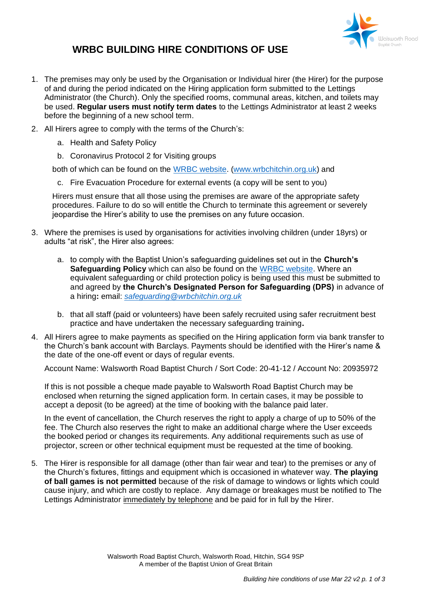

## **WRBC BUILDING HIRE CONDITIONS OF USE**

- 1. The premises may only be used by the Organisation or Individual hirer (the Hirer) for the purpose of and during the period indicated on the Hiring application form submitted to the Lettings Administrator (the Church). Only the specified rooms, communal areas, kitchen, and toilets may be used. **Regular users must notify term dates** to the Lettings Administrator at least 2 weeks before the beginning of a new school term.
- 2. All Hirers agree to comply with the terms of the Church's:
	- a. Health and Safety Policy
	- b. Coronavirus Protocol 2 for Visiting groups

both of which can be found on the [WRBC website.](https://www.wrbchitchin.org.uk/documents-policies) [\(www.wrbchitchin.org.uk\)](http://www.wrbchitchin.org.uk/) and

c. Fire Evacuation Procedure for external events (a copy will be sent to you)

Hirers must ensure that all those using the premises are aware of the appropriate safety procedures. Failure to do so will entitle the Church to terminate this agreement or severely jeopardise the Hirer's ability to use the premises on any future occasion.

- 3. Where the premises is used by organisations for activities involving children (under 18yrs) or adults "at risk", the Hirer also agrees:
	- a. to comply with the Baptist Union's safeguarding guidelines set out in the **Church's Safeguarding Policy** which can also be found on the [WRBC website.](https://www.wrbchitchin.org.uk/documents-policies) Where an equivalent safeguarding or child protection policy is being used this must be submitted to and agreed by **the Church's Designated Person for Safeguarding (DPS)** in advance of a hiring**:** email: *[safeguarding@wrbchitchin.org.uk](mailto:safeguarding@wrbcitchin.org.uk)*
	- b. that all staff (paid or volunteers) have been safely recruited using safer recruitment best practice and have undertaken the necessary safeguarding training**.**
- 4. All Hirers agree to make payments as specified on the Hiring application form via bank transfer to the Church's bank account with Barclays. Payments should be identified with the Hirer's name & the date of the one-off event or days of regular events.

Account Name: Walsworth Road Baptist Church / Sort Code: 20-41-12 / Account No: 20935972

If this is not possible a cheque made payable to Walsworth Road Baptist Church may be enclosed when returning the signed application form. In certain cases, it may be possible to accept a deposit (to be agreed) at the time of booking with the balance paid later.

In the event of cancellation, the Church reserves the right to apply a charge of up to 50% of the fee. The Church also reserves the right to make an additional charge where the User exceeds the booked period or changes its requirements. Any additional requirements such as use of projector, screen or other technical equipment must be requested at the time of booking.

5. The Hirer is responsible for all damage (other than fair wear and tear) to the premises or any of the Church's fixtures, fittings and equipment which is occasioned in whatever way. **The playing of ball games is not permitted** because of the risk of damage to windows or lights which could cause injury, and which are costly to replace. Any damage or breakages must be notified to The Lettings Administrator immediately by telephone and be paid for in full by the Hirer.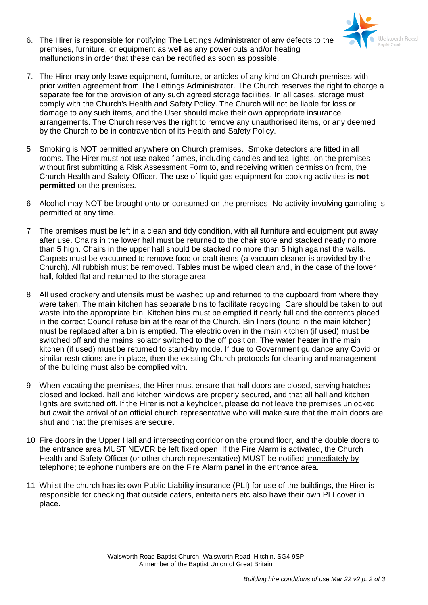

- 6. The Hirer is responsible for notifying The Lettings Administrator of any defects to the premises, furniture, or equipment as well as any power cuts and/or heating malfunctions in order that these can be rectified as soon as possible.
- 7. The Hirer may only leave equipment, furniture, or articles of any kind on Church premises with prior written agreement from The Lettings Administrator. The Church reserves the right to charge a separate fee for the provision of any such agreed storage facilities. In all cases, storage must comply with the Church's Health and Safety Policy. The Church will not be liable for loss or damage to any such items, and the User should make their own appropriate insurance arrangements. The Church reserves the right to remove any unauthorised items, or any deemed by the Church to be in contravention of its Health and Safety Policy.
- 5 Smoking is NOT permitted anywhere on Church premises. Smoke detectors are fitted in all rooms. The Hirer must not use naked flames, including candles and tea lights, on the premises without first submitting a Risk Assessment Form to, and receiving written permission from, the Church Health and Safety Officer. The use of liquid gas equipment for cooking activities **is not permitted** on the premises.
- 6 Alcohol may NOT be brought onto or consumed on the premises. No activity involving gambling is permitted at any time.
- 7 The premises must be left in a clean and tidy condition, with all furniture and equipment put away after use. Chairs in the lower hall must be returned to the chair store and stacked neatly no more than 5 high. Chairs in the upper hall should be stacked no more than 5 high against the walls. Carpets must be vacuumed to remove food or craft items (a vacuum cleaner is provided by the Church). All rubbish must be removed. Tables must be wiped clean and, in the case of the lower hall, folded flat and returned to the storage area.
- 8 All used crockery and utensils must be washed up and returned to the cupboard from where they were taken. The main kitchen has separate bins to facilitate recycling. Care should be taken to put waste into the appropriate bin. Kitchen bins must be emptied if nearly full and the contents placed in the correct Council refuse bin at the rear of the Church. Bin liners (found in the main kitchen) must be replaced after a bin is emptied. The electric oven in the main kitchen (if used) must be switched off and the mains isolator switched to the off position. The water heater in the main kitchen (if used) must be returned to stand-by mode. If due to Government guidance any Covid or similar restrictions are in place, then the existing Church protocols for cleaning and management of the building must also be complied with.
- 9 When vacating the premises, the Hirer must ensure that hall doors are closed, serving hatches closed and locked, hall and kitchen windows are properly secured, and that all hall and kitchen lights are switched off. If the Hirer is not a keyholder, please do not leave the premises unlocked but await the arrival of an official church representative who will make sure that the main doors are shut and that the premises are secure.
- 10 Fire doors in the Upper Hall and intersecting corridor on the ground floor, and the double doors to the entrance area MUST NEVER be left fixed open. If the Fire Alarm is activated, the Church Health and Safety Officer (or other church representative) MUST be notified immediately by telephone; telephone numbers are on the Fire Alarm panel in the entrance area.
- 11 Whilst the church has its own Public Liability insurance (PLI) for use of the buildings, the Hirer is responsible for checking that outside caters, entertainers etc also have their own PLI cover in place.